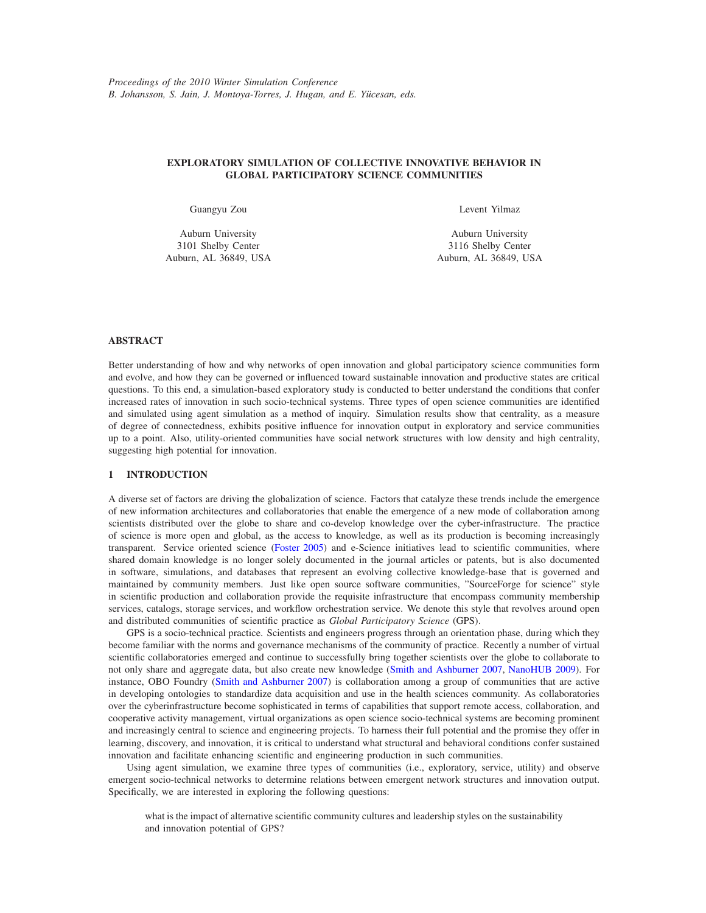# **EXPLORATORY SIMULATION OF COLLECTIVE INNOVATIVE BEHAVIOR IN GLOBAL PARTICIPATORY SCIENCE COMMUNITIES**

Guangyu Zou

Auburn University 3101 Shelby Center Auburn, AL 36849, USA Levent Yilmaz

Auburn University 3116 Shelby Center Auburn, AL 36849, USA

# **ABSTRACT**

Better understanding of how and why networks of open innovation and global participatory science communities form and evolve, and how they can be governed or influenced toward sustainable innovation and productive states are critical questions. To this end, a simulation-based exploratory study is conducted to better understand the conditions that confer increased rates of innovation in such socio-technical systems. Three types of open science communities are identified and simulated using agent simulation as a method of inquiry. Simulation results show that centrality, as a measure of degree of connectedness, exhibits positive influence for innovation output in exploratory and service communities up to a point. Also, utility-oriented communities have social network structures with low density and high centrality, suggesting high potential for innovation.

### **1 INTRODUCTION**

A diverse set of factors are driving the globalization of science. Factors that catalyze these trends include the emergence of new information architectures and collaboratories that enable the emergence of a new mode of collaboration among scientists distributed over the globe to share and co-develop knowledge over the cyber-infrastructure. The practice of science is more open and global, as the access to knowledge, as well as its production is becoming increasingly transparent. Service oriented science (Foster 2005) and e-Science initiatives lead to scientific communities, where shared domain knowledge is no longer solely documented in the journal articles or patents, but is also documented in software, simulations, and databases that represent an evolving collective knowledge-base that is governed and maintained by community members. Just like open source software communities, "SourceForge for science" style in scientific production and collaboration provide the requisite infrastructure that encompass community membership services, catalogs, storage services, and workflow orchestration service. We denote this style that revolves around open and distributed communities of scientific practice as *Global Participatory Science* (GPS).

GPS is a socio-technical practice. Scientists and engineers progress through an orientation phase, during which they become familiar with the norms and governance mechanisms of the community of practice. Recently a number of virtual scientific collaboratories emerged and continue to successfully bring together scientists over the globe to collaborate to not only share and aggregate data, but also create new knowledge (Smith and Ashburner 2007, NanoHUB 2009). For instance, OBO Foundry (Smith and Ashburner 2007) is collaboration among a group of communities that are active in developing ontologies to standardize data acquisition and use in the health sciences community. As collaboratories over the cyberinfrastructure become sophisticated in terms of capabilities that support remote access, collaboration, and cooperative activity management, virtual organizations as open science socio-technical systems are becoming prominent and increasingly central to science and engineering projects. To harness their full potential and the promise they offer in learning, discovery, and innovation, it is critical to understand what structural and behavioral conditions confer sustained innovation and facilitate enhancing scientific and engineering production in such communities.

Using agent simulation, we examine three types of communities (i.e., exploratory, service, utility) and observe emergent socio-technical networks to determine relations between emergent network structures and innovation output. Specifically, we are interested in exploring the following questions:

what is the impact of alternative scientific community cultures and leadership styles on the sustainability and innovation potential of GPS?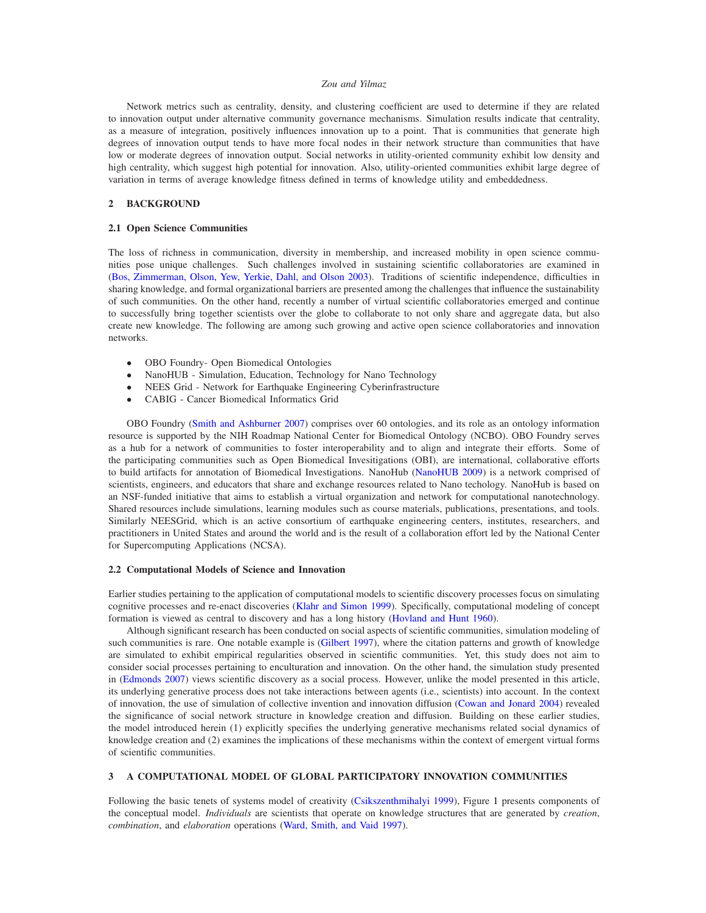#### *Zou and Yilmaz*

Network metrics such as centrality, density, and clustering coefficient are used to determine if they are related to innovation output under alternative community governance mechanisms. Simulation results indicate that centrality, as a measure of integration, positively influences innovation up to a point. That is communities that generate high degrees of innovation output tends to have more focal nodes in their network structure than communities that have low or moderate degrees of innovation output. Social networks in utility-oriented community exhibit low density and high centrality, which suggest high potential for innovation. Also, utility-oriented communities exhibit large degree of variation in terms of average knowledge fitness defined in terms of knowledge utility and embeddedness.

# **2 BACKGROUND**

## **2.1 Open Science Communities**

The loss of richness in communication, diversity in membership, and increased mobility in open science communities pose unique challenges. Such challenges involved in sustaining scientific collaboratories are examined in (Bos, Zimmerman, Olson, Yew, Yerkie, Dahl, and Olson 2003). Traditions of scientific independence, difficulties in sharing knowledge, and formal organizational barriers are presented among the challenges that influence the sustainability of such communities. On the other hand, recently a number of virtual scientific collaboratories emerged and continue to successfully bring together scientists over the globe to collaborate to not only share and aggregate data, but also create new knowledge. The following are among such growing and active open science collaboratories and innovation networks.

- OBO Foundry- Open Biomedical Ontologies
- NanoHUB Simulation, Education, Technology for Nano Technology
- NEES Grid Network for Earthquake Engineering Cyberinfrastructure
- CABIG Cancer Biomedical Informatics Grid

OBO Foundry (Smith and Ashburner 2007) comprises over 60 ontologies, and its role as an ontology information resource is supported by the NIH Roadmap National Center for Biomedical Ontology (NCBO). OBO Foundry serves as a hub for a network of communities to foster interoperability and to align and integrate their efforts. Some of the participating communities such as Open Biomedical Invesitigations (OBI), are international, collaborative efforts to build artifacts for annotation of Biomedical Investigations. NanoHub (NanoHUB 2009) is a network comprised of scientists, engineers, and educators that share and exchange resources related to Nano techology. NanoHub is based on an NSF-funded initiative that aims to establish a virtual organization and network for computational nanotechnology. Shared resources include simulations, learning modules such as course materials, publications, presentations, and tools. Similarly NEESGrid, which is an active consortium of earthquake engineering centers, institutes, researchers, and practitioners in United States and around the world and is the result of a collaboration effort led by the National Center for Supercomputing Applications (NCSA).

## **2.2 Computational Models of Science and Innovation**

Earlier studies pertaining to the application of computational models to scientific discovery processes focus on simulating cognitive processes and re-enact discoveries (Klahr and Simon 1999). Specifically, computational modeling of concept formation is viewed as central to discovery and has a long history (Hovland and Hunt 1960).

Although significant research has been conducted on social aspects of scientific communities, simulation modeling of such communities is rare. One notable example is (Gilbert 1997), where the citation patterns and growth of knowledge are simulated to exhibit empirical regularities observed in scientific communities. Yet, this study does not aim to consider social processes pertaining to enculturation and innovation. On the other hand, the simulation study presented in (Edmonds 2007) views scientific discovery as a social process. However, unlike the model presented in this article, its underlying generative process does not take interactions between agents (i.e., scientists) into account. In the context of innovation, the use of simulation of collective invention and innovation diffusion (Cowan and Jonard 2004) revealed the significance of social network structure in knowledge creation and diffusion. Building on these earlier studies, the model introduced herein (1) explicitly specifies the underlying generative mechanisms related social dynamics of knowledge creation and (2) examines the implications of these mechanisms within the context of emergent virtual forms of scientific communities.

### **3 A COMPUTATIONAL MODEL OF GLOBAL PARTICIPATORY INNOVATION COMMUNITIES**

Following the basic tenets of systems model of creativity (Csikszenthmihalyi 1999), Figure 1 presents components of the conceptual model. *Individuals* are scientists that operate on knowledge structures that are generated by *creation*, *combination*, and *elaboration* operations (Ward, Smith, and Vaid 1997).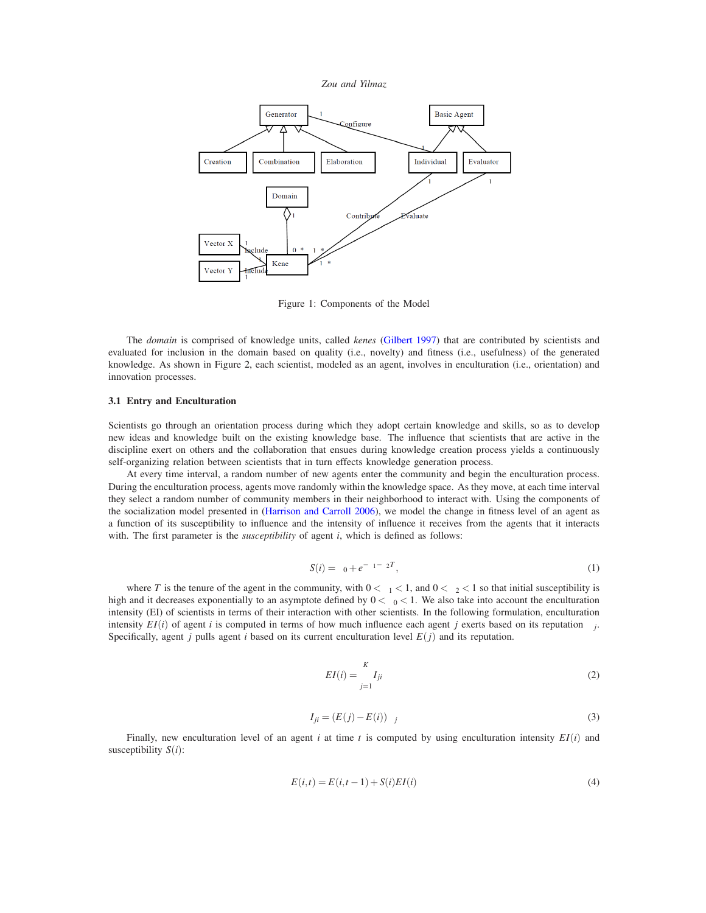



Figure 1: Components of the Model

The *domain* is comprised of knowledge units, called *kenes* (Gilbert 1997) that are contributed by scientists and evaluated for inclusion in the domain based on quality (i.e., novelty) and fitness (i.e., usefulness) of the generated knowledge. As shown in Figure 2, each scientist, modeled as an agent, involves in enculturation (i.e., orientation) and innovation processes.

#### **3.1 Entry and Enculturation**

Scientists go through an orientation process during which they adopt certain knowledge and skills, so as to develop new ideas and knowledge built on the existing knowledge base. The influence that scientists that are active in the discipline exert on others and the collaboration that ensues during knowledge creation process yields a continuously self-organizing relation between scientists that in turn effects knowledge generation process.

At every time interval, a random number of new agents enter the community and begin the enculturation process. During the enculturation process, agents move randomly within the knowledge space. As they move, at each time interval they select a random number of community members in their neighborhood to interact with. Using the components of the socialization model presented in (Harrison and Carroll 2006), we model the change in fitness level of an agent as a function of its susceptibility to influence and the intensity of influence it receives from the agents that it interacts with. The first parameter is the *susceptibility* of agent *i*, which is defined as follows:

$$
S(i) = \beta_0 + e^{-\beta_1 - \beta_2 T}, \tag{1}
$$

where *T* is the tenure of the agent in the community, with  $0 < \beta_1 < 1$ , and  $0 < \beta_2 < 1$  so that initial susceptibility is high and it decreases exponentially to an asymptote defined by  $0 < \beta_0 < 1$ . We also take into account the enculturation intensity (EI) of scientists in terms of their interaction with other scientists. In the following formulation, enculturation intensity  $EI(i)$  of agent *i* is computed in terms of how much influence each agent *j* exerts based on its reputation  $\alpha_i$ . Specifically, agent *j* pulls agent *i* based on its current enculturation level  $E(j)$  and its reputation.

$$
EI(i) = \sum_{j=1}^{K} I_{ji}
$$
\n<sup>(2)</sup>

$$
I_{ji} = (E(j) - E(i))\alpha_j \tag{3}
$$

Finally, new enculturation level of an agent *i* at time *t* is computed by using enculturation intensity *EI*(*i*) and susceptibility *S*(*i*):

$$
E(i,t) = E(i,t-1) + S(i)EI(i)
$$
\n(4)